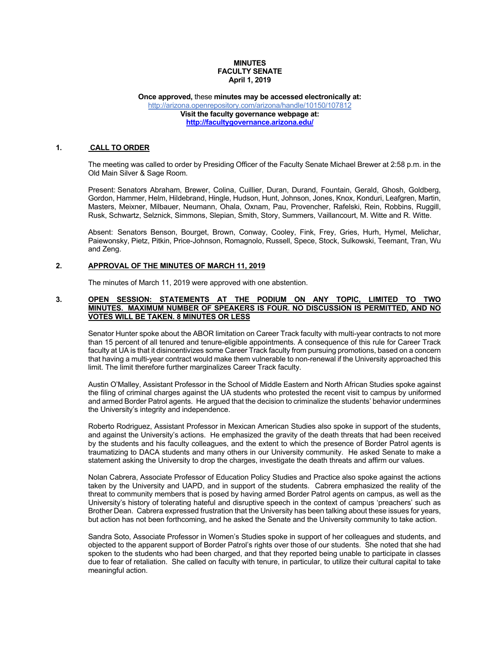## **MINUTES FACULTY SENATE April 1, 2019**

**Once approved,** these **minutes may be accessed electronically at:** http://arizona.openrepository.com/arizona/handle/10150/107812 **Visit the faculty governance webpage at: http://facultygovernance.arizona.edu/**

## **1. CALL TO ORDER**

The meeting was called to order by Presiding Officer of the Faculty Senate Michael Brewer at 2:58 p.m. in the Old Main Silver & Sage Room.

Present: Senators Abraham, Brewer, Colina, Cuillier, Duran, Durand, Fountain, Gerald, Ghosh, Goldberg, Gordon, Hammer, Helm, Hildebrand, Hingle, Hudson, Hunt, Johnson, Jones, Knox, Konduri, Leafgren, Martin, Masters, Meixner, Milbauer, Neumann, Ohala, Oxnam, Pau, Provencher, Rafelski, Rein, Robbins, Ruggill, Rusk, Schwartz, Selznick, Simmons, Slepian, Smith, Story, Summers, Vaillancourt, M. Witte and R. Witte.

Absent: Senators Benson, Bourget, Brown, Conway, Cooley, Fink, Frey, Gries, Hurh, Hymel, Melichar, Paiewonsky, Pietz, Pitkin, Price-Johnson, Romagnolo, Russell, Spece, Stock, Sulkowski, Teemant, Tran, Wu and Zeng.

#### **2. APPROVAL OF THE MINUTES OF MARCH 11, 2019**

The minutes of March 11, 2019 were approved with one abstention.

#### **3. OPEN SESSION: STATEMENTS AT THE PODIUM ON ANY TOPIC, LIMITED TO TWO MINUTES. MAXIMUM NUMBER OF SPEAKERS IS FOUR. NO DISCUSSION IS PERMITTED, AND NO VOTES WILL BE TAKEN. 8 MINUTES OR LESS**

Senator Hunter spoke about the ABOR limitation on Career Track faculty with multi-year contracts to not more than 15 percent of all tenured and tenure-eligible appointments. A consequence of this rule for Career Track faculty at UA is that it disincentivizes some Career Track faculty from pursuing promotions, based on a concern that having a multi-year contract would make them vulnerable to non-renewal if the University approached this limit. The limit therefore further marginalizes Career Track faculty.

Austin O'Malley, Assistant Professor in the School of Middle Eastern and North African Studies spoke against the filing of criminal charges against the UA students who protested the recent visit to campus by uniformed and armed Border Patrol agents. He argued that the decision to criminalize the students' behavior undermines the University's integrity and independence.

Roberto Rodriguez, Assistant Professor in Mexican American Studies also spoke in support of the students, and against the University's actions. He emphasized the gravity of the death threats that had been received by the students and his faculty colleagues, and the extent to which the presence of Border Patrol agents is traumatizing to DACA students and many others in our University community. He asked Senate to make a statement asking the University to drop the charges, investigate the death threats and affirm our values.

Nolan Cabrera, Associate Professor of Education Policy Studies and Practice also spoke against the actions taken by the University and UAPD, and in support of the students. Cabrera emphasized the reality of the threat to community members that is posed by having armed Border Patrol agents on campus, as well as the University's history of tolerating hateful and disruptive speech in the context of campus 'preachers' such as Brother Dean. Cabrera expressed frustration that the University has been talking about these issues for years, but action has not been forthcoming, and he asked the Senate and the University community to take action.

Sandra Soto, Associate Professor in Women's Studies spoke in support of her colleagues and students, and objected to the apparent support of Border Patrol's rights over those of our students. She noted that she had spoken to the students who had been charged, and that they reported being unable to participate in classes due to fear of retaliation. She called on faculty with tenure, in particular, to utilize their cultural capital to take meaningful action.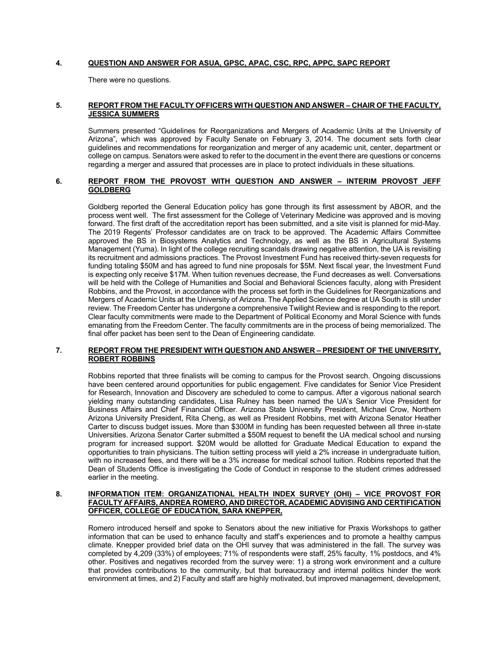# **4. QUESTION AND ANSWER FOR ASUA, GPSC, APAC, CSC, RPC, APPC, SAPC REPORT**

There were no questions.

# **5. REPORT FROM THE FACULTY OFFICERS WITH QUESTION AND ANSWER – CHAIR OF THE FACULTY, JESSICA SUMMERS**

Summers presented "Guidelines for Reorganizations and Mergers of Academic Units at the University of Arizona", which was approved by Faculty Senate on February 3, 2014. The document sets forth clear guidelines and recommendations for reorganization and merger of any academic unit, center, department or college on campus. Senators were asked to refer to the document in the event there are questions or concerns regarding a merger and assured that processes are in place to protect individuals in these situations.

### **6. REPORT FROM THE PROVOST WITH QUESTION AND ANSWER – INTERIM PROVOST JEFF GOLDBERG**

Goldberg reported the General Education policy has gone through its first assessment by ABOR, and the process went well. The first assessment for the College of Veterinary Medicine was approved and is moving forward. The first draft of the accreditation report has been submitted, and a site visit is planned for mid-May. The 2019 Regents' Professor candidates are on track to be approved. The Academic Affairs Committee approved the BS in Biosystems Analytics and Technology, as well as the BS in Agricultural Systems Management (Yuma). In light of the college recruiting scandals drawing negative attention, the UA is revisiting its recruitment and admissions practices. The Provost Investment Fund has received thirty-seven requests for funding totaling \$50M and has agreed to fund nine proposals for \$5M. Next fiscal year, the Investment Fund is expecting only receive \$17M. When tuition revenues decrease, the Fund decreases as well. Conversations will be held with the College of Humanities and Social and Behavioral Sciences faculty, along with President Robbins, and the Provost, in accordance with the process set forth in the Guidelines for Reorganizations and Mergers of Academic Units at the University of Arizona. The Applied Science degree at UA South is still under review. The Freedom Center has undergone a comprehensive Twilight Review and is responding to the report. Clear faculty commitments were made to the Department of Political Economy and Moral Science with funds emanating from the Freedom Center. The faculty commitments are in the process of being memorialized. The final offer packet has been sent to the Dean of Engineering candidate.

# **7. REPORT FROM THE PRESIDENT WITH QUESTION AND ANSWER – PRESIDENT OF THE UNIVERSITY, ROBERT ROBBINS**

Robbins reported that three finalists will be coming to campus for the Provost search. Ongoing discussions have been centered around opportunities for public engagement. Five candidates for Senior Vice President for Research, Innovation and Discovery are scheduled to come to campus. After a vigorous national search yielding many outstanding candidates, Lisa Rulney has been named the UA's Senior Vice President for Business Affairs and Chief Financial Officer. Arizona State University President, Michael Crow, Northern Arizona University President, Rita Cheng, as well as President Robbins, met with Arizona Senator Heather Carter to discuss budget issues. More than \$300M in funding has been requested between all three in-state Universities. Arizona Senator Carter submitted a \$50M request to benefit the UA medical school and nursing program for increased support. \$20M would be allotted for Graduate Medical Education to expand the opportunities to train physicians. The tuition setting process will yield a 2% increase in undergraduate tuition, with no increased fees, and there will be a 3% increase for medical school tuition. Robbins reported that the Dean of Students Office is investigating the Code of Conduct in response to the student crimes addressed earlier in the meeting.

### **8. INFORMATION ITEM: ORGANIZATIONAL HEALTH INDEX SURVEY (OHI) – VICE PROVOST FOR FACULTY AFFAIRS, ANDREA ROMERO, AND DIRECTOR, ACADEMIC ADVISING AND CERTIFICATION OFFICER, COLLEGE OF EDUCATION, SARA KNEPPER,**

Romero introduced herself and spoke to Senators about the new initiative for Praxis Workshops to gather information that can be used to enhance faculty and staff's experiences and to promote a healthy campus climate. Knepper provided brief data on the OHI survey that was administered in the fall. The survey was completed by 4,209 (33%) of employees; 71% of respondents were staff, 25% faculty, 1% postdocs, and 4% other. Positives and negatives recorded from the survey were: 1) a strong work environment and a culture that provides contributions to the community, but that bureaucracy and internal politics hinder the work environment at times, and 2) Faculty and staff are highly motivated, but improved management, development,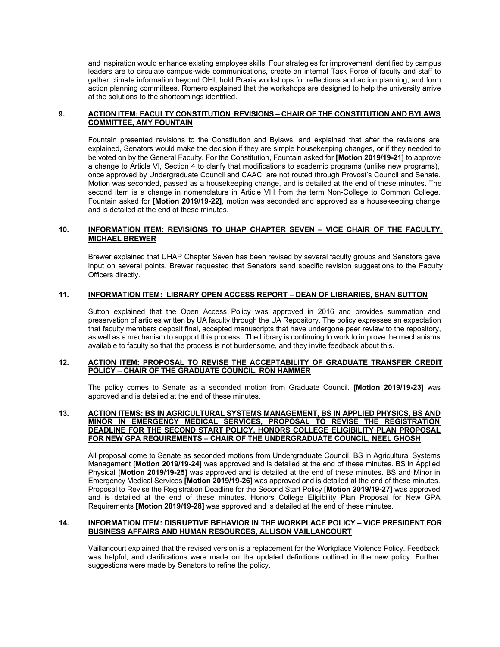and inspiration would enhance existing employee skills. Four strategies for improvement identified by campus leaders are to circulate campus-wide communications, create an internal Task Force of faculty and staff to gather climate information beyond OHI, hold Praxis workshops for reflections and action planning, and form action planning committees. Romero explained that the workshops are designed to help the university arrive at the solutions to the shortcomings identified.

## **9. ACTION ITEM: FACULTY CONSTITUTION REVISIONS – CHAIR OF THE CONSTITUTION AND BYLAWS COMMITTEE, AMY FOUNTAIN**

Fountain presented revisions to the Constitution and Bylaws, and explained that after the revisions are explained, Senators would make the decision if they are simple housekeeping changes, or if they needed to be voted on by the General Faculty. For the Constitution, Fountain asked for **[Motion 2019/19-21]** to approve a change to Article VI, Section 4 to clarify that modifications to academic programs (unlike new programs), once approved by Undergraduate Council and CAAC, are not routed through Provost's Council and Senate. Motion was seconded, passed as a housekeeping change, and is detailed at the end of these minutes. The second item is a change in nomenclature in Article VIII from the term Non-College to Common College. Fountain asked for **[Motion 2019/19-22]**, motion was seconded and approved as a housekeeping change, and is detailed at the end of these minutes.

# **10. INFORMATION ITEM: REVISIONS TO UHAP CHAPTER SEVEN – VICE CHAIR OF THE FACULTY, MICHAEL BREWER**

Brewer explained that UHAP Chapter Seven has been revised by several faculty groups and Senators gave input on several points. Brewer requested that Senators send specific revision suggestions to the Faculty Officers directly.

# **11. INFORMATION ITEM: LIBRARY OPEN ACCESS REPORT – DEAN OF LIBRARIES, SHAN SUTTON**

Sutton explained that the Open Access Policy was approved in 2016 and provides summation and preservation of articles written by UA faculty through the UA Repository. The policy expresses an expectation that faculty members deposit final, accepted manuscripts that have undergone peer review to the repository, as well as a mechanism to support this process. The Library is continuing to work to improve the mechanisms available to faculty so that the process is not burdensome, and they invite feedback about this.

### **12. ACTION ITEM: PROPOSAL TO REVISE THE ACCEPTABILITY OF GRADUATE TRANSFER CREDIT POLICY – CHAIR OF THE GRADUATE COUNCIL, RON HAMMER**

The policy comes to Senate as a seconded motion from Graduate Council. **[Motion 2019/19-23]** was approved and is detailed at the end of these minutes.

### **13. ACTION ITEMS: BS IN AGRICULTURAL SYSTEMS MANAGEMENT, BS IN APPLIED PHYSICS, BS AND MINOR IN EMERGENCY MEDICAL SERVICES, PROPOSAL TO REVISE THE REGISTRATION DEADLINE FOR THE SECOND START POLICY, HONORS COLLEGE ELIGIBILITY PLAN PROPOSAL FOR NEW GPA REQUIREMENTS – CHAIR OF THE UNDERGRADUATE COUNCIL, NEEL GHOSH**

All proposal come to Senate as seconded motions from Undergraduate Council. BS in Agricultural Systems Management **[Motion 2019/19-24]** was approved and is detailed at the end of these minutes. BS in Applied Physical **[Motion 2019/19-25]** was approved and is detailed at the end of these minutes. BS and Minor in Emergency Medical Services **[Motion 2019/19-26]** was approved and is detailed at the end of these minutes. Proposal to Revise the Registration Deadline for the Second Start Policy **[Motion 2019/19-27]** was approved and is detailed at the end of these minutes. Honors College Eligibility Plan Proposal for New GPA Requirements **[Motion 2019/19-28]** was approved and is detailed at the end of these minutes.

### **14. INFORMATION ITEM: DISRUPTIVE BEHAVIOR IN THE WORKPLACE POLICY – VICE PRESIDENT FOR BUSINESS AFFAIRS AND HUMAN RESOURCES, ALLISON VAILLANCOURT**

Vaillancourt explained that the revised version is a replacement for the Workplace Violence Policy. Feedback was helpful, and clarifications were made on the updated definitions outlined in the new policy. Further suggestions were made by Senators to refine the policy.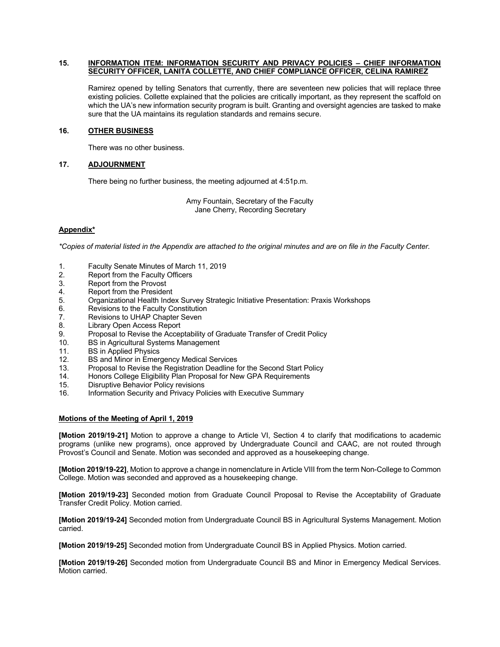### **15. INFORMATION ITEM: INFORMATION SECURITY AND PRIVACY POLICIES – CHIEF INFORMATION SECURITY OFFICER, LANITA COLLETTE, AND CHIEF COMPLIANCE OFFICER, CELINA RAMIREZ**

Ramirez opened by telling Senators that currently, there are seventeen new policies that will replace three existing policies. Collette explained that the policies are critically important, as they represent the scaffold on which the UA's new information security program is built. Granting and oversight agencies are tasked to make sure that the UA maintains its regulation standards and remains secure.

# **16. OTHER BUSINESS**

There was no other business.

# **17. ADJOURNMENT**

There being no further business, the meeting adjourned at 4:51p.m.

Amy Fountain, Secretary of the Faculty Jane Cherry, Recording Secretary

# **Appendix\***

*\*Copies of material listed in the Appendix are attached to the original minutes and are on file in the Faculty Center.*

- 1. Faculty Senate Minutes of March 11, 2019
- 2. Report from the Faculty Officers<br>3. Report from the Provost
- Report from the Provost
- 4. Report from the President
- 5. Organizational Health Index Survey Strategic Initiative Presentation: Praxis Workshops
- 6. Revisions to the Faculty Constitution
- 7. Revisions to UHAP Chapter Seven
- 8. Library Open Access Report
- 9. Proposal to Revise the Acceptability of Graduate Transfer of Credit Policy
- 10. BS in Agricultural Systems Management
- 11. BS in Applied Physics
- 12. BS and Minor in Emergency Medical Services
- 13. Proposal to Revise the Registration Deadline for the Second Start Policy
- 14. Honors College Eligibility Plan Proposal for New GPA Requirements
- 15. Disruptive Behavior Policy revisions
- 16. Information Security and Privacy Policies with Executive Summary

# **Motions of the Meeting of April 1, 2019**

**[Motion 2019/19-21]** Motion to approve a change to Article VI, Section 4 to clarify that modifications to academic programs (unlike new programs), once approved by Undergraduate Council and CAAC, are not routed through Provost's Council and Senate. Motion was seconded and approved as a housekeeping change.

**[Motion 2019/19-22]**, Motion to approve a change in nomenclature in Article VIII from the term Non-College to Common College. Motion was seconded and approved as a housekeeping change.

**[Motion 2019/19-23]** Seconded motion from Graduate Council Proposal to Revise the Acceptability of Graduate Transfer Credit Policy. Motion carried.

**[Motion 2019/19-24]** Seconded motion from Undergraduate Council BS in Agricultural Systems Management. Motion carried.

**[Motion 2019/19-25]** Seconded motion from Undergraduate Council BS in Applied Physics. Motion carried.

**[Motion 2019/19-26]** Seconded motion from Undergraduate Council BS and Minor in Emergency Medical Services. Motion carried.